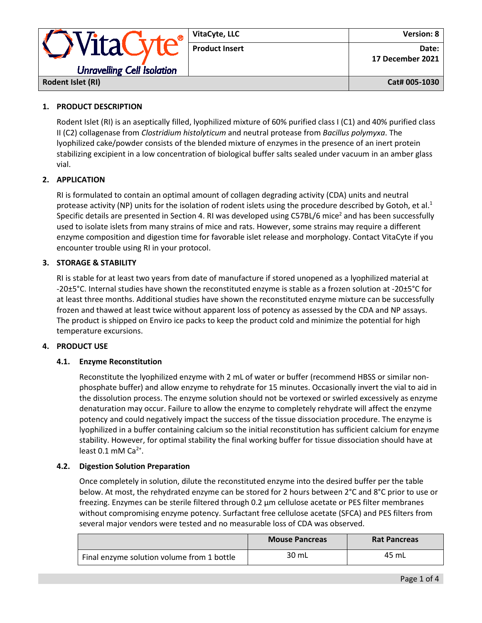|                                             | VitaCyte, LLC         | Version: 8                |
|---------------------------------------------|-----------------------|---------------------------|
| VitaC,<br><b>Unravelling Cell Isolation</b> | <b>Product Insert</b> | Date:<br>17 December 2021 |
| Rodent Islet (RI)                           |                       | Cat# 005-1030             |

# **1. PRODUCT DESCRIPTION**

Rodent Islet (RI) is an aseptically filled, lyophilized mixture of 60% purified class I (C1) and 40% purified class II (C2) collagenase from *Clostridium histolyticum* and neutral protease from *Bacillus polymyxa*. The lyophilized cake/powder consists of the blended mixture of enzymes in the presence of an inert protein stabilizing excipient in a low concentration of biological buffer salts sealed under vacuum in an amber glass vial.

# **2. APPLICATION**

RI is formulated to contain an optimal amount of collagen degrading activity (CDA) units and neutral protease activity (NP) units for the isolation of rodent islets using the procedure described by Gotoh, et al.<sup>1</sup> Specific details are presented in Section 4. RI was developed using C57BL/6 mice<sup>2</sup> and has been successfully used to isolate islets from many strains of mice and rats. However, some strains may require a different enzyme composition and digestion time for favorable islet release and morphology. Contact VitaCyte if you encounter trouble using RI in your protocol.

# **3. STORAGE & STABILITY**

RI is stable for at least two years from date of manufacture if stored unopened as a lyophilized material at -20±5°C. Internal studies have shown the reconstituted enzyme is stable as a frozen solution at -20±5°C for at least three months. Additional studies have shown the reconstituted enzyme mixture can be successfully frozen and thawed at least twice without apparent loss of potency as assessed by the CDA and NP assays. The product is shipped on Enviro ice packs to keep the product cold and minimize the potential for high temperature excursions.

## **4. PRODUCT USE**

## **4.1. Enzyme Reconstitution**

Reconstitute the lyophilized enzyme with 2 mL of water or buffer (recommend HBSS or similar nonphosphate buffer) and allow enzyme to rehydrate for 15 minutes. Occasionally invert the vial to aid in the dissolution process. The enzyme solution should not be vortexed or swirled excessively as enzyme denaturation may occur. Failure to allow the enzyme to completely rehydrate will affect the enzyme potency and could negatively impact the success of the tissue dissociation procedure. The enzyme is lyophilized in a buffer containing calcium so the initial reconstitution has sufficient calcium for enzyme stability. However, for optimal stability the final working buffer for tissue dissociation should have at least  $0.1$  mM Ca<sup>2+</sup>.

## **4.2. Digestion Solution Preparation**

Once completely in solution, dilute the reconstituted enzyme into the desired buffer per the table below. At most, the rehydrated enzyme can be stored for 2 hours between 2°C and 8°C prior to use or freezing. Enzymes can be sterile filtered through 0.2 μm cellulose acetate or PES filter membranes without compromising enzyme potency. Surfactant free cellulose acetate (SFCA) and PES filters from several major vendors were tested and no measurable loss of CDA was observed.

|                                            | <b>Mouse Pancreas</b> | <b>Rat Pancreas</b> |
|--------------------------------------------|-----------------------|---------------------|
| Final enzyme solution volume from 1 bottle | 30 mL                 | 45 mL               |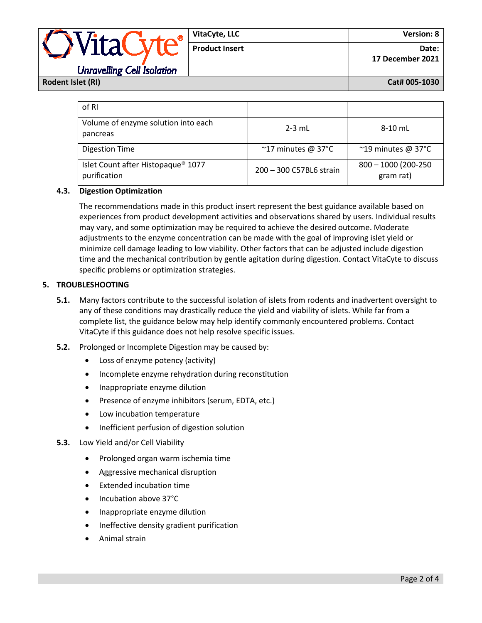|                                   | VitaCyte, LLC         | <b>Version: 8</b>         |
|-----------------------------------|-----------------------|---------------------------|
| NitaCyte®L"                       | <b>Product Insert</b> | Date:<br>17 December 2021 |
| <b>Unravelling Cell Isolation</b> |                       |                           |

**Rodent Islet (RI) Cat# 005-1030**

| of RI                                              |                              |                                    |
|----------------------------------------------------|------------------------------|------------------------------------|
| Volume of enzyme solution into each<br>pancreas    | $2-3$ mL                     | 8-10 mL                            |
| <b>Digestion Time</b>                              | $~^{\sim}$ 17 minutes @ 37°C | $~^{\sim}$ 19 minutes @ 37°C       |
| Islet Count after Histopaque® 1077<br>purification | 200 - 300 C57BL6 strain      | $800 - 1000$ (200-250<br>gram rat) |

## **4.3. Digestion Optimization**

The recommendations made in this product insert represent the best guidance available based on experiences from product development activities and observations shared by users. Individual results may vary, and some optimization may be required to achieve the desired outcome. Moderate adjustments to the enzyme concentration can be made with the goal of improving islet yield or minimize cell damage leading to low viability. Other factors that can be adjusted include digestion time and the mechanical contribution by gentle agitation during digestion. Contact VitaCyte to discuss specific problems or optimization strategies.

## **5. TROUBLESHOOTING**

- **5.1.** Many factors contribute to the successful isolation of islets from rodents and inadvertent oversight to any of these conditions may drastically reduce the yield and viability of islets. While far from a complete list, the guidance below may help identify commonly encountered problems. Contact VitaCyte if this guidance does not help resolve specific issues.
- **5.2.** Prolonged or Incomplete Digestion may be caused by:
	- Loss of enzyme potency (activity)
	- Incomplete enzyme rehydration during reconstitution
	- Inappropriate enzyme dilution
	- Presence of enzyme inhibitors (serum, EDTA, etc.)
	- Low incubation temperature
	- Inefficient perfusion of digestion solution
- **5.3.** Low Yield and/or Cell Viability
	- Prolonged organ warm ischemia time
	- Aggressive mechanical disruption
	- Extended incubation time
	- Incubation above 37°C
	- Inappropriate enzyme dilution
	- Ineffective density gradient purification
	- Animal strain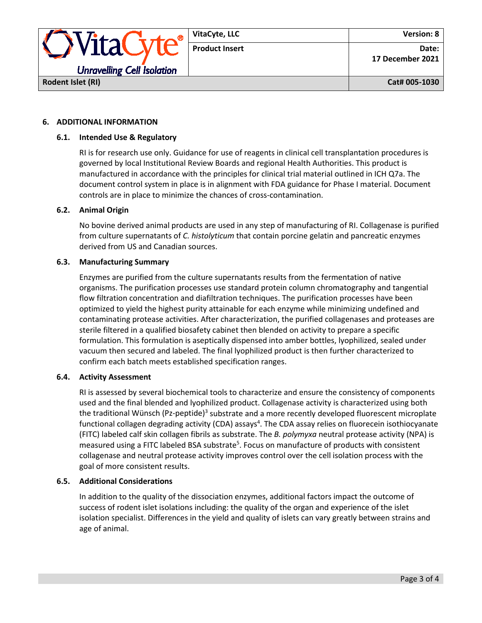

### **6. ADDITIONAL INFORMATION**

### **6.1. Intended Use & Regulatory**

RI is for research use only. Guidance for use of reagents in clinical cell transplantation procedures is governed by local Institutional Review Boards and regional Health Authorities. This product is manufactured in accordance with the principles for clinical trial material outlined in ICH Q7a. The document control system in place is in alignment with FDA guidance for Phase I material. Document controls are in place to minimize the chances of cross-contamination.

### **6.2. Animal Origin**

No bovine derived animal products are used in any step of manufacturing of RI. Collagenase is purified from culture supernatants of *C. histolyticum* that contain porcine gelatin and pancreatic enzymes derived from US and Canadian sources.

### **6.3. Manufacturing Summary**

Enzymes are purified from the culture supernatants results from the fermentation of native organisms. The purification processes use standard protein column chromatography and tangential flow filtration concentration and diafiltration techniques. The purification processes have been optimized to yield the highest purity attainable for each enzyme while minimizing undefined and contaminating protease activities. After characterization, the purified collagenases and proteases are sterile filtered in a qualified biosafety cabinet then blended on activity to prepare a specific formulation. This formulation is aseptically dispensed into amber bottles, lyophilized, sealed under vacuum then secured and labeled. The final lyophilized product is then further characterized to confirm each batch meets established specification ranges.

#### **6.4. Activity Assessment**

RI is assessed by several biochemical tools to characterize and ensure the consistency of components used and the final blended and lyophilized product. Collagenase activity is characterized using both the traditional Wünsch (Pz-peptide)<sup>3</sup> substrate and a more recently developed fluorescent microplate functional collagen degrading activity (CDA) assays<sup>4</sup>. The CDA assay relies on fluorecein isothiocyanate (FITC) labeled calf skin collagen fibrils as substrate. The *B. polymyxa* neutral protease activity (NPA) is measured using a FITC labeled BSA substrate<sup>5</sup>. Focus on manufacture of products with consistent collagenase and neutral protease activity improves control over the cell isolation process with the goal of more consistent results.

### **6.5. Additional Considerations**

In addition to the quality of the dissociation enzymes, additional factors impact the outcome of success of rodent islet isolations including: the quality of the organ and experience of the islet isolation specialist. Differences in the yield and quality of islets can vary greatly between strains and age of animal.